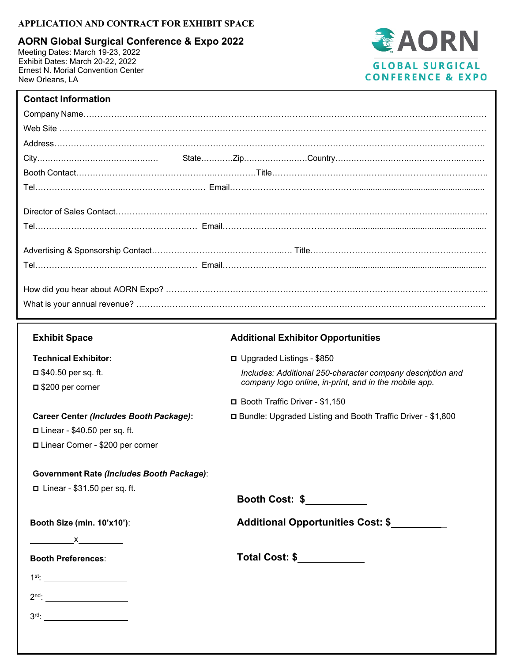# **APPLICATION AND CONTRACT FOR EXHIBIT SPACE**

**AORN Global Surgical Conference & Expo 2022** 

Meeting Dates: March 19-23, 2022 Exhibit Dates: March 20-22, 2022 Ernest N. Morial Convention Center New Orleans, LA



# **Contact Information**

| <b>Exhibit Space</b>                                                                                                                  | <b>Additional Exhibitor Opportunities</b>                     |  |
|---------------------------------------------------------------------------------------------------------------------------------------|---------------------------------------------------------------|--|
| <b>Technical Exhibitor:</b>                                                                                                           | □ Upgraded Listings - \$850                                   |  |
| $\Box$ \$40.50 per sq. ft.                                                                                                            | Includes: Additional 250-character company description and    |  |
| $\Box$ \$200 per corner                                                                                                               | company logo online, in-print, and in the mobile app.         |  |
|                                                                                                                                       | □ Booth Traffic Driver - \$1,150                              |  |
| <b>Career Center (Includes Booth Package):</b>                                                                                        | □ Bundle: Upgraded Listing and Booth Traffic Driver - \$1,800 |  |
| $\Box$ Linear - \$40.50 per sq. ft.                                                                                                   |                                                               |  |
| □ Linear Corner - \$200 per corner                                                                                                    |                                                               |  |
| <b>Government Rate (Includes Booth Package):</b><br>$\Box$ Linear - \$31.50 per sq. ft.<br>Booth Size (min. 10'x10'):<br><u>x x x</u> | Booth Cost: \$<br>Additional Opportunities Cost: \$           |  |
| <b>Booth Preferences:</b>                                                                                                             | Total Cost: \$____________                                    |  |
|                                                                                                                                       |                                                               |  |
|                                                                                                                                       |                                                               |  |
|                                                                                                                                       |                                                               |  |
|                                                                                                                                       |                                                               |  |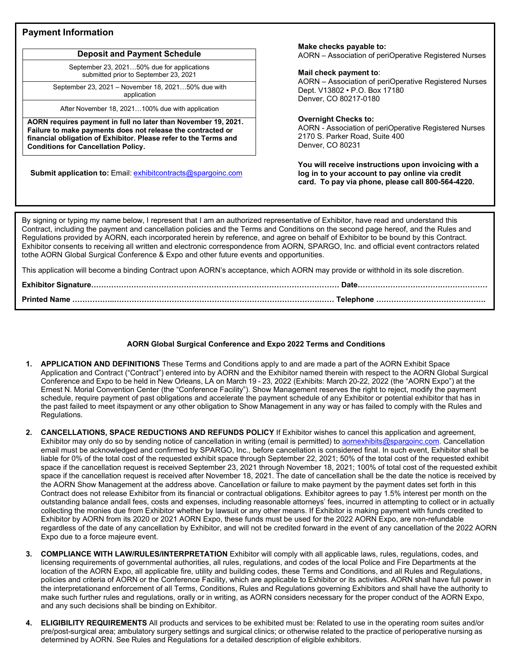## **Payment Information**

## **Deposit and Payment Schedule**

September 23, 2021…50% due for applications submitted prior to September 23, 2021

September 23, 2021 – November 18, 2021…50% due with application

After November 18, 2021…100% due with application

**AORN requires payment in full no later than November 19, 2021. Failure to make payments does not release the contracted or financial obligation of Exhibitor. Please refer to the Terms and Conditions for Cancellation Policy.**

**Submit application to:** Email: [exhibitcontracts@spargoinc.com](mailto:exhibitcontracts@spargoinc.com)

#### **Make checks payable to:**

AORN – Association of periOperative Registered Nurses

#### **Mail check payment to**:

AORN – Association of periOperative Registered Nurses Dept. V13802 • P.O. Box 17180 Denver, CO 80217-0180

### **Overnight Checks to:**

AORN - Association of periOperative Registered Nurses 2170 S. Parker Road, Suite 400 Denver, CO 80231

**You will receive instructions upon invoicing with a log in to your account to pay online via credit card. To pay via phone, please call 800-564-4220.**

By signing or typing my name below, I represent that I am an authorized representative of Exhibitor, have read and understand this Contract, including the payment and cancellation policies and the Terms and Conditions on the second page hereof, and the Rules and Regulations provided by AORN, each incorporated herein by reference, and agree on behalf of Exhibitor to be bound by this Contract. Exhibitor consents to receiving all written and electronic correspondence from AORN, SPARGO, Inc. and official event contractors related tothe AORN Global Surgical Conference & Expo and other future events and opportunities.

This application will become a binding Contract upon AORN's acceptance, which AORN may provide or withhold in its sole discretion.

| <b>Printed Name</b> |  |
|---------------------|--|

### **AORN Global Surgical Conference and Expo 2022 Terms and Conditions**

- **1. APPLICATION AND DEFINITIONS** These Terms and Conditions apply to and are made a part of the AORN Exhibit Space Application and Contract ("Contract") entered into by AORN and the Exhibitor named therein with respect to the AORN Global Surgical Conference and Expo to be held in New Orleans, LA on March 19 - 23, 2022 (Exhibits: March 20-22, 2022 (the "AORN Expo") at the Ernest N. Morial Convention Center (the "Conference Facility"). Show Management reserves the right to reject, modify the payment schedule, require payment of past obligations and accelerate the payment schedule of any Exhibitor or potential exhibitor that has in the past failed to meet itspayment or any other obligation to Show Management in any way or has failed to comply with the Rules and Regulations.
- **2. CANCELLATIONS, SPACE REDUCTIONS AND REFUNDS POLICY** If Exhibitor wishes to cancel this application and agreement, Exhibitor may only do so by sending notice of cancellation in writing (email is permitted) to [aornexhibits@spargoinc.com. C](mailto:aornexhibits@spargoinc.com)ancellation email must be acknowledged and confirmed by SPARGO, Inc., before cancellation is considered final. In such event, Exhibitor shall be liable for 0% of the total cost of the requested exhibit space through September 22, 2021; 50% of the total cost of the requested exhibit space if the cancellation request is received September 23, 2021 through November 18, 2021; 100% of total cost of the requested exhibit space if the cancellation request is received after November 18, 2021. The date of cancellation shall be the date the notice is received by the AORN Show Management at the address above. Cancellation or failure to make payment by the payment dates set forth in this Contract does not release Exhibitor from its financial or contractual obligations. Exhibitor agrees to pay 1.5% interest per month on the outstanding balance andall fees, costs and expenses, including reasonable attorneys' fees, incurred in attempting to collect or in actually collecting the monies due from Exhibitor whether by lawsuit or any other means. If Exhibitor is making payment with funds credited to Exhibitor by AORN from its 2020 or 2021 AORN Expo, these funds must be used for the 2022 AORN Expo, are non-refundable regardless of the date of any cancellation by Exhibitor, and will not be credited forward in the event of any cancellation of the 2022 AORN Expo due to a force majeure event.
- **3. COMPLIANCE WITH LAW/RULES/INTERPRETATION** Exhibitor will comply with all applicable laws, rules, regulations, codes, and licensing requirements of governmental authorities, all rules, regulations, and codes of the local Police and Fire Departments at the location of the AORN Expo, all applicable fire, utility and building codes, these Terms and Conditions, and all Rules and Regulations, policies and criteria of AORN or the Conference Facility, which are applicable to Exhibitor or its activities. AORN shall have full power in the interpretationand enforcement of all Terms, Conditions, Rules and Regulations governing Exhibitors and shall have the authority to make such further rules and regulations, orally or in writing, as AORN considers necessary for the proper conduct of the AORN Expo, and any such decisions shall be binding on Exhibitor.
- **4. ELIGIBILITY REQUIREMENTS** All products and services to be exhibited must be: Related to use in the operating room suites and/or pre/post-surgical area; ambulatory surgery settings and surgical clinics; or otherwise related to the practice of perioperative nursing as determined by AORN. See Rules and Regulations for a detailed description of eligible exhibitors.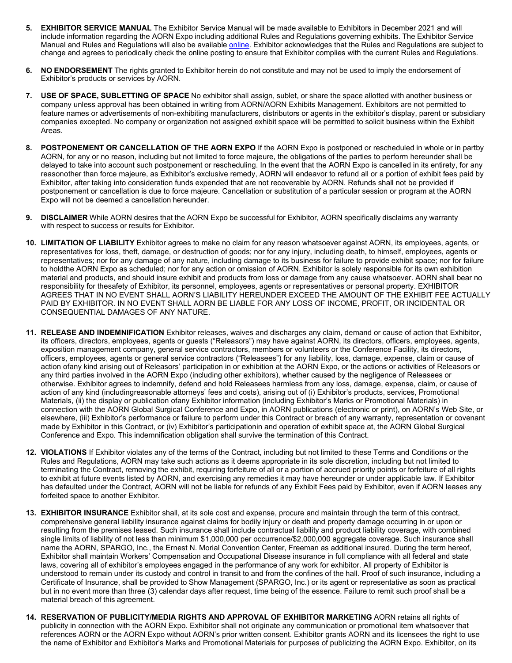- **5. EXHIBITOR SERVICE MANUAL** The Exhibitor Service Manual will be made available to Exhibitors in December 2021 and will include information regarding the AORN Expo including additional Rules and Regulations governing exhibits. The Exhibitor Service Manual and Rules and Regulations will also be available [online. E](https://events.jspargo.com/aorn22/Public/enter.aspx)xhibitor acknowledges that the Rules and Regulations are subject to change and agrees to periodically check the online posting to ensure that Exhibitor complies with the current Rules and Regulations.
- **6. NO ENDORSEMENT** The rights granted to Exhibitor herein do not constitute and may not be used to imply the endorsement of Exhibitor's products or services by AORN.
- **7. USE OF SPACE, SUBLETTING OF SPACE** No exhibitor shall assign, sublet, or share the space allotted with another business or company unless approval has been obtained in writing from AORN/AORN Exhibits Management. Exhibitors are not permitted to feature names or advertisements of non-exhibiting manufacturers, distributors or agents in the exhibitor's display, parent or subsidiary companies excepted. No company or organization not assigned exhibit space will be permitted to solicit business within the Exhibit Areas.
- **8. POSTPONEMENT OR CANCELLATION OF THE AORN EXPO** If the AORN Expo is postponed or rescheduled in whole or in partby AORN, for any or no reason, including but not limited to force majeure, the obligations of the parties to perform hereunder shall be delayed to take into account such postponement or rescheduling. In the event that the AORN Expo is cancelled in its entirety, for any reasonother than force majeure, as Exhibitor's exclusive remedy, AORN will endeavor to refund all or a portion of exhibit fees paid by Exhibitor, after taking into consideration funds expended that are not recoverable by AORN. Refunds shall not be provided if postponement or cancellation is due to force majeure. Cancellation or substitution of a particular session or program at the AORN Expo will not be deemed a cancellation hereunder.
- **9. DISCLAIMER** While AORN desires that the AORN Expo be successful for Exhibitor, AORN specifically disclaims any warranty with respect to success or results for Exhibitor.
- **10. LIMITATION OF LIABILITY** Exhibitor agrees to make no claim for any reason whatsoever against AORN, its employees, agents, or representatives for loss, theft, damage, or destruction of goods; nor for any injury, including death, to himself, employees, agents or representatives; nor for any damage of any nature, including damage to its business for failure to provide exhibit space; nor for failure to holdthe AORN Expo as scheduled; nor for any action or omission of AORN. Exhibitor is solely responsible for its own exhibition material and products, and should insure exhibit and products from loss or damage from any cause whatsoever. AORN shall bear no responsibility for thesafety of Exhibitor, its personnel, employees, agents or representatives or personal property. EXHIBITOR AGREES THAT IN NO EVENT SHALL AORN'S LIABILITY HEREUNDER EXCEED THE AMOUNT OF THE EXHIBIT FEE ACTUALLY PAID BY EXHIBITOR. IN NO EVENT SHALL AORN BE LIABLE FOR ANY LOSS OF INCOME, PROFIT, OR INCIDENTAL OR CONSEQUENTIAL DAMAGES OF ANY NATURE.
- **11. RELEASE AND INDEMNIFICATION** Exhibitor releases, waives and discharges any claim, demand or cause of action that Exhibitor, its officers, directors, employees, agents or guests ("Releasors") may have against AORN, its directors, officers, employees, agents, exposition management company, general service contractors, members or volunteers or the Conference Facility, its directors, officers, employees, agents or general service contractors ("Releasees") for any liability, loss, damage, expense, claim or cause of action ofany kind arising out of Releasors' participation in or exhibition at the AORN Expo, or the actions or activities of Releasors or any third parties involved in the AORN Expo (including other exhibitors), whether caused by the negligence of Releasees or otherwise. Exhibitor agrees to indemnify, defend and hold Releasees harmless from any loss, damage, expense, claim, or cause of action of any kind (includingreasonable attorneys' fees and costs), arising out of (i) Exhibitor's products, services, Promotional Materials, (ii) the display or publication ofany Exhibitor information (including Exhibitor's Marks or Promotional Materials) in connection with the AORN Global Surgical Conference and Expo, in AORN publications (electronic or print), on AORN's Web Site, or elsewhere, (iii) Exhibitor's performance or failure to perform under this Contract or breach of any warranty, representation or covenant made by Exhibitor in this Contract, or (iv) Exhibitor's participationin and operation of exhibit space at, the AORN Global Surgical Conference and Expo. This indemnification obligation shall survive the termination of this Contract.
- **12. VIOLATIONS** If Exhibitor violates any of the terms of the Contract, including but not limited to these Terms and Conditions or the Rules and Regulations, AORN may take such actions as it deems appropriate in its sole discretion, including but not limited to terminating the Contract, removing the exhibit, requiring forfeiture of all or a portion of accrued priority points or forfeiture of all rights to exhibit at future events listed by AORN, and exercising any remedies it may have hereunder or under applicable law. If Exhibitor has defaulted under the Contract, AORN will not be liable for refunds of any Exhibit Fees paid by Exhibitor, even if AORN leases any forfeited space to another Exhibitor.
- **13. EXHIBITOR INSURANCE** Exhibitor shall, at its sole cost and expense, procure and maintain through the term of this contract, comprehensive general liability insurance against claims for bodily injury or death and property damage occurring in or upon or resulting from the premises leased. Such insurance shall include contractual liability and product liability coverage, with combined single limits of liability of not less than minimum \$1,000,000 per occurrence/\$2,000,000 aggregate coverage. Such insurance shall name the AORN, SPARGO, Inc., the Ernest N. Morial Convention Center, Freeman as additional insured. During the term hereof, Exhibitor shall maintain Workers' Compensation and Occupational Disease insurance in full compliance with all federal and state laws, covering all of exhibitor's employees engaged in the performance of any work for exhibitor. All property of Exhibitor is understood to remain under its custody and control in transit to and from the confines of the hall. Proof of such insurance, including a Certificate of Insurance, shall be provided to Show Management (SPARGO, Inc.) or its agent or representative as soon as practical but in no event more than three (3) calendar days after request, time being of the essence. Failure to remit such proof shall be a material breach of this agreement.
- **14. RESERVATION OF PUBLICITY/MEDIA RIGHTS AND APPROVAL OF EXHIBITOR MARKETING** AORN retains all rights of publicity in connection with the AORN Expo. Exhibitor shall not originate any communication or promotional item whatsoever that references AORN or the AORN Expo without AORN's prior written consent. Exhibitor grants AORN and its licensees the right to use the name of Exhibitor and Exhibitor's Marks and Promotional Materials for purposes of publicizing the AORN Expo. Exhibitor, on its